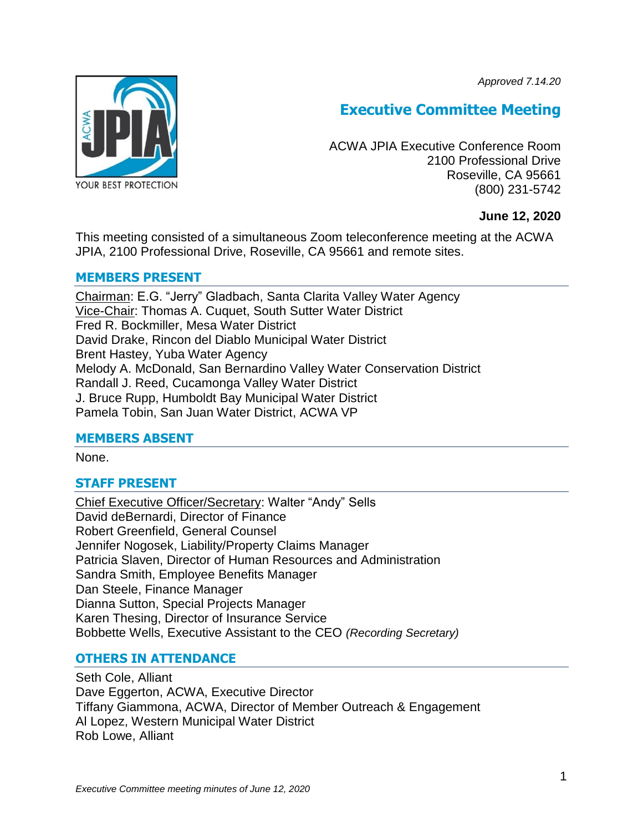*Approved 7.14.20*



# **Executive Committee Meeting**

ACWA JPIA Executive Conference Room 2100 Professional Drive Roseville, CA 95661 (800) 231-5742

# **June 12, 2020**

This meeting consisted of a simultaneous Zoom teleconference meeting at the ACWA JPIA, 2100 Professional Drive, Roseville, CA 95661 and remote sites.

# **MEMBERS PRESENT**

Chairman: E.G. "Jerry" Gladbach, Santa Clarita Valley Water Agency Vice-Chair: Thomas A. Cuquet, South Sutter Water District Fred R. Bockmiller, Mesa Water District David Drake, Rincon del Diablo Municipal Water District Brent Hastey, Yuba Water Agency Melody A. McDonald, San Bernardino Valley Water Conservation District Randall J. Reed, Cucamonga Valley Water District J. Bruce Rupp, Humboldt Bay Municipal Water District Pamela Tobin, San Juan Water District, ACWA VP

# **MEMBERS ABSENT**

None.

# **STAFF PRESENT**

Chief Executive Officer/Secretary: Walter "Andy" Sells David deBernardi, Director of Finance Robert Greenfield, General Counsel Jennifer Nogosek, Liability/Property Claims Manager Patricia Slaven, Director of Human Resources and Administration Sandra Smith, Employee Benefits Manager Dan Steele, Finance Manager Dianna Sutton, Special Projects Manager Karen Thesing, Director of Insurance Service Bobbette Wells, Executive Assistant to the CEO *(Recording Secretary)*

# **OTHERS IN ATTENDANCE**

Seth Cole, Alliant Dave Eggerton, ACWA, Executive Director Tiffany Giammona, ACWA, Director of Member Outreach & Engagement Al Lopez, Western Municipal Water District Rob Lowe, Alliant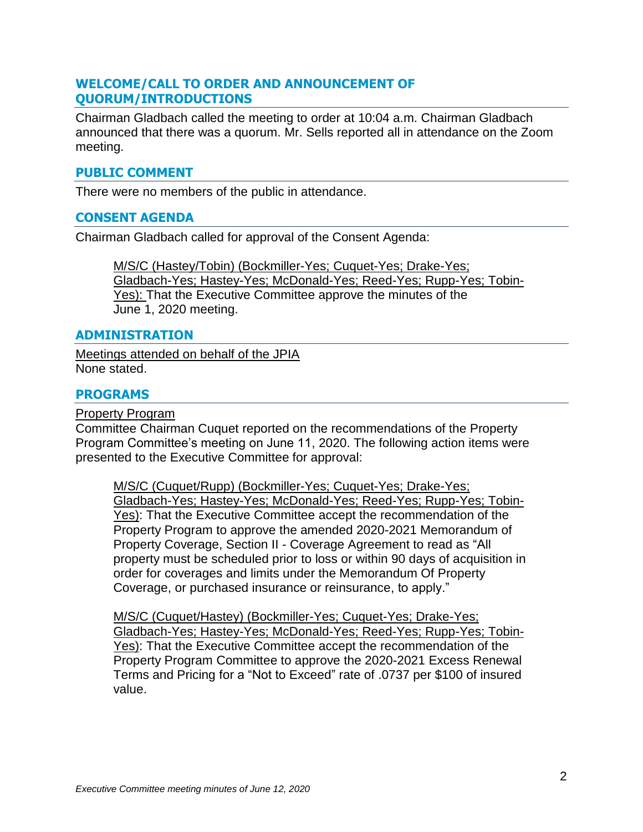# **WELCOME/CALL TO ORDER AND ANNOUNCEMENT OF QUORUM/INTRODUCTIONS**

Chairman Gladbach called the meeting to order at 10:04 a.m. Chairman Gladbach announced that there was a quorum. Mr. Sells reported all in attendance on the Zoom meeting.

# **PUBLIC COMMENT**

There were no members of the public in attendance.

# **CONSENT AGENDA**

Chairman Gladbach called for approval of the Consent Agenda:

M/S/C (Hastey/Tobin) (Bockmiller-Yes; Cuquet-Yes; Drake-Yes; Gladbach-Yes; Hastey-Yes; McDonald-Yes; Reed-Yes; Rupp-Yes; Tobin-Yes): That the Executive Committee approve the minutes of the June 1, 2020 meeting.

#### **ADMINISTRATION**

Meetings attended on behalf of the JPIA None stated.

# **PROGRAMS**

Property Program

Committee Chairman Cuquet reported on the recommendations of the Property Program Committee's meeting on June 11, 2020. The following action items were presented to the Executive Committee for approval:

M/S/C (Cuquet/Rupp) (Bockmiller-Yes; Cuquet-Yes; Drake-Yes; Gladbach-Yes; Hastey-Yes; McDonald-Yes; Reed-Yes; Rupp-Yes; Tobin-Yes): That the Executive Committee accept the recommendation of the Property Program to approve the amended 2020-2021 Memorandum of Property Coverage, Section II - Coverage Agreement to read as "All property must be scheduled prior to loss or within 90 days of acquisition in order for coverages and limits under the Memorandum Of Property Coverage, or purchased insurance or reinsurance, to apply."

M/S/C (Cuquet/Hastey) (Bockmiller-Yes; Cuquet-Yes; Drake-Yes; Gladbach-Yes; Hastey-Yes; McDonald-Yes; Reed-Yes; Rupp-Yes; Tobin-Yes): That the Executive Committee accept the recommendation of the Property Program Committee to approve the 2020-2021 Excess Renewal Terms and Pricing for a "Not to Exceed" rate of .0737 per \$100 of insured value.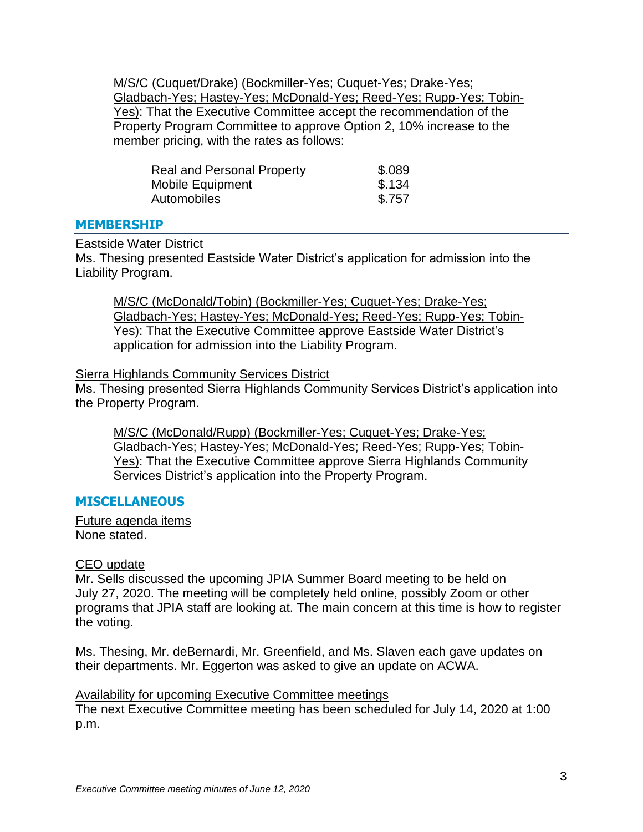M/S/C (Cuquet/Drake) (Bockmiller-Yes; Cuquet-Yes; Drake-Yes; Gladbach-Yes; Hastey-Yes; McDonald-Yes; Reed-Yes; Rupp-Yes; Tobin-Yes): That the Executive Committee accept the recommendation of the Property Program Committee to approve Option 2, 10% increase to the member pricing, with the rates as follows:

| <b>Real and Personal Property</b> | \$.089 |
|-----------------------------------|--------|
| Mobile Equipment                  | \$.134 |
| Automobiles                       | \$.757 |

#### **MEMBERSHIP**

#### Eastside Water District

Ms. Thesing presented Eastside Water District's application for admission into the Liability Program.

M/S/C (McDonald/Tobin) (Bockmiller-Yes; Cuquet-Yes; Drake-Yes; Gladbach-Yes; Hastey-Yes; McDonald-Yes; Reed-Yes; Rupp-Yes; Tobin-Yes): That the Executive Committee approve Eastside Water District's application for admission into the Liability Program.

#### Sierra Highlands Community Services District

Ms. Thesing presented Sierra Highlands Community Services District's application into the Property Program.

M/S/C (McDonald/Rupp) (Bockmiller-Yes; Cuquet-Yes; Drake-Yes; Gladbach-Yes; Hastey-Yes; McDonald-Yes; Reed-Yes; Rupp-Yes; Tobin-Yes): That the Executive Committee approve Sierra Highlands Community Services District's application into the Property Program.

# **MISCELLANEOUS**

Future agenda items None stated.

#### CEO update

Mr. Sells discussed the upcoming JPIA Summer Board meeting to be held on July 27, 2020. The meeting will be completely held online, possibly Zoom or other programs that JPIA staff are looking at. The main concern at this time is how to register the voting.

Ms. Thesing, Mr. deBernardi, Mr. Greenfield, and Ms. Slaven each gave updates on their departments. Mr. Eggerton was asked to give an update on ACWA.

# Availability for upcoming Executive Committee meetings

The next Executive Committee meeting has been scheduled for July 14, 2020 at 1:00 p.m.